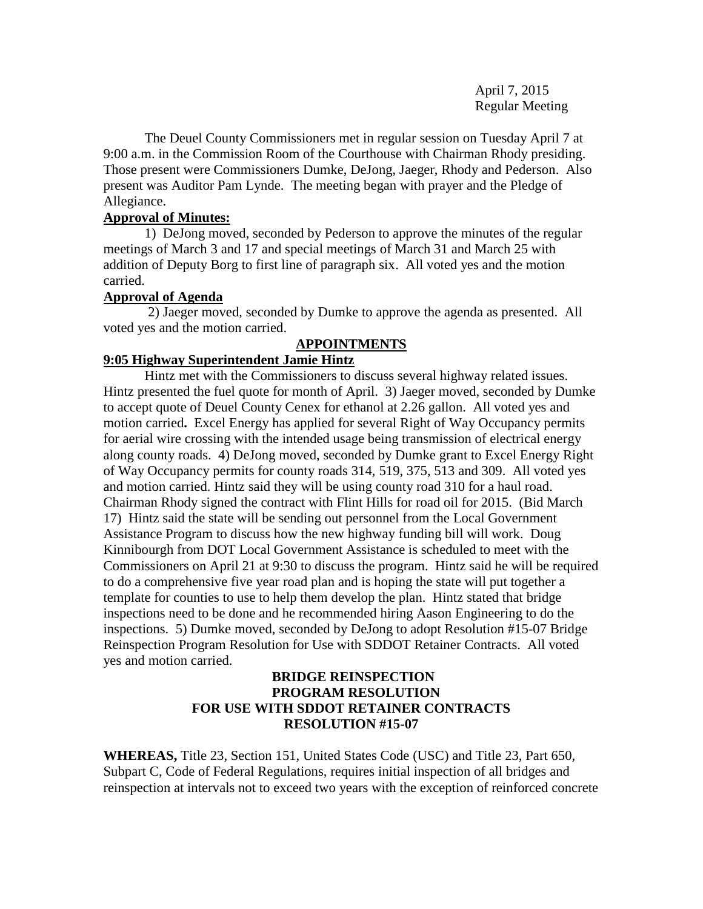April 7, 2015 Regular Meeting

The Deuel County Commissioners met in regular session on Tuesday April 7 at 9:00 a.m. in the Commission Room of the Courthouse with Chairman Rhody presiding. Those present were Commissioners Dumke, DeJong, Jaeger, Rhody and Pederson. Also present was Auditor Pam Lynde. The meeting began with prayer and the Pledge of Allegiance.

## **Approval of Minutes:**

1) DeJong moved, seconded by Pederson to approve the minutes of the regular meetings of March 3 and 17 and special meetings of March 31 and March 25 with addition of Deputy Borg to first line of paragraph six. All voted yes and the motion carried.

## **Approval of Agenda**

2) Jaeger moved, seconded by Dumke to approve the agenda as presented. All voted yes and the motion carried.

# **APPOINTMENTS**

## **9:05 Highway Superintendent Jamie Hintz**

Hintz met with the Commissioners to discuss several highway related issues. Hintz presented the fuel quote for month of April. 3) Jaeger moved, seconded by Dumke to accept quote of Deuel County Cenex for ethanol at 2.26 gallon. All voted yes and motion carried**.** Excel Energy has applied for several Right of Way Occupancy permits for aerial wire crossing with the intended usage being transmission of electrical energy along county roads. 4) DeJong moved, seconded by Dumke grant to Excel Energy Right of Way Occupancy permits for county roads 314, 519, 375, 513 and 309. All voted yes and motion carried. Hintz said they will be using county road 310 for a haul road. Chairman Rhody signed the contract with Flint Hills for road oil for 2015. (Bid March 17) Hintz said the state will be sending out personnel from the Local Government Assistance Program to discuss how the new highway funding bill will work. Doug Kinnibourgh from DOT Local Government Assistance is scheduled to meet with the Commissioners on April 21 at 9:30 to discuss the program. Hintz said he will be required to do a comprehensive five year road plan and is hoping the state will put together a template for counties to use to help them develop the plan. Hintz stated that bridge inspections need to be done and he recommended hiring Aason Engineering to do the inspections. 5) Dumke moved, seconded by DeJong to adopt Resolution #15-07 Bridge Reinspection Program Resolution for Use with SDDOT Retainer Contracts. All voted yes and motion carried.

## **BRIDGE REINSPECTION PROGRAM RESOLUTION FOR USE WITH SDDOT RETAINER CONTRACTS RESOLUTION #15-07**

**WHEREAS,** Title 23, Section 151, United States Code (USC) and Title 23, Part 650, Subpart C, Code of Federal Regulations, requires initial inspection of all bridges and reinspection at intervals not to exceed two years with the exception of reinforced concrete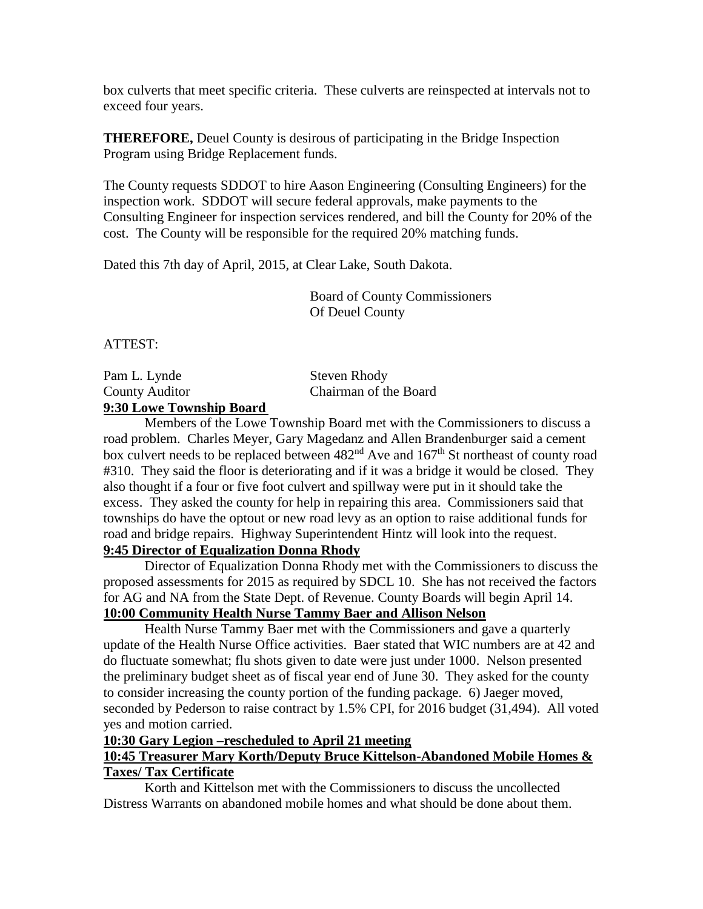box culverts that meet specific criteria. These culverts are reinspected at intervals not to exceed four years.

**THEREFORE,** Deuel County is desirous of participating in the Bridge Inspection Program using Bridge Replacement funds.

The County requests SDDOT to hire Aason Engineering (Consulting Engineers) for the inspection work. SDDOT will secure federal approvals, make payments to the Consulting Engineer for inspection services rendered, and bill the County for 20% of the cost. The County will be responsible for the required 20% matching funds.

Dated this 7th day of April, 2015, at Clear Lake, South Dakota.

Board of County Commissioners Of Deuel County

ATTEST:

Pam L. Lynde Steven Rhody County Auditor Chairman of the Board **9:30 Lowe Township Board**

Members of the Lowe Township Board met with the Commissioners to discuss a road problem. Charles Meyer, Gary Magedanz and Allen Brandenburger said a cement box culvert needs to be replaced between 482<sup>nd</sup> Ave and 167<sup>th</sup> St northeast of county road #310. They said the floor is deteriorating and if it was a bridge it would be closed. They also thought if a four or five foot culvert and spillway were put in it should take the excess. They asked the county for help in repairing this area. Commissioners said that townships do have the optout or new road levy as an option to raise additional funds for road and bridge repairs. Highway Superintendent Hintz will look into the request. **9:45 Director of Equalization Donna Rhody**

Director of Equalization Donna Rhody met with the Commissioners to discuss the proposed assessments for 2015 as required by SDCL 10. She has not received the factors for AG and NA from the State Dept. of Revenue. County Boards will begin April 14. **10:00 Community Health Nurse Tammy Baer and Allison Nelson**

Health Nurse Tammy Baer met with the Commissioners and gave a quarterly update of the Health Nurse Office activities. Baer stated that WIC numbers are at 42 and do fluctuate somewhat; flu shots given to date were just under 1000. Nelson presented the preliminary budget sheet as of fiscal year end of June 30. They asked for the county to consider increasing the county portion of the funding package. 6) Jaeger moved, seconded by Pederson to raise contract by 1.5% CPI, for 2016 budget (31,494). All voted yes and motion carried.

**10:30 Gary Legion –rescheduled to April 21 meeting**

## **10:45 Treasurer Mary Korth/Deputy Bruce Kittelson-Abandoned Mobile Homes & Taxes/ Tax Certificate**

Korth and Kittelson met with the Commissioners to discuss the uncollected Distress Warrants on abandoned mobile homes and what should be done about them.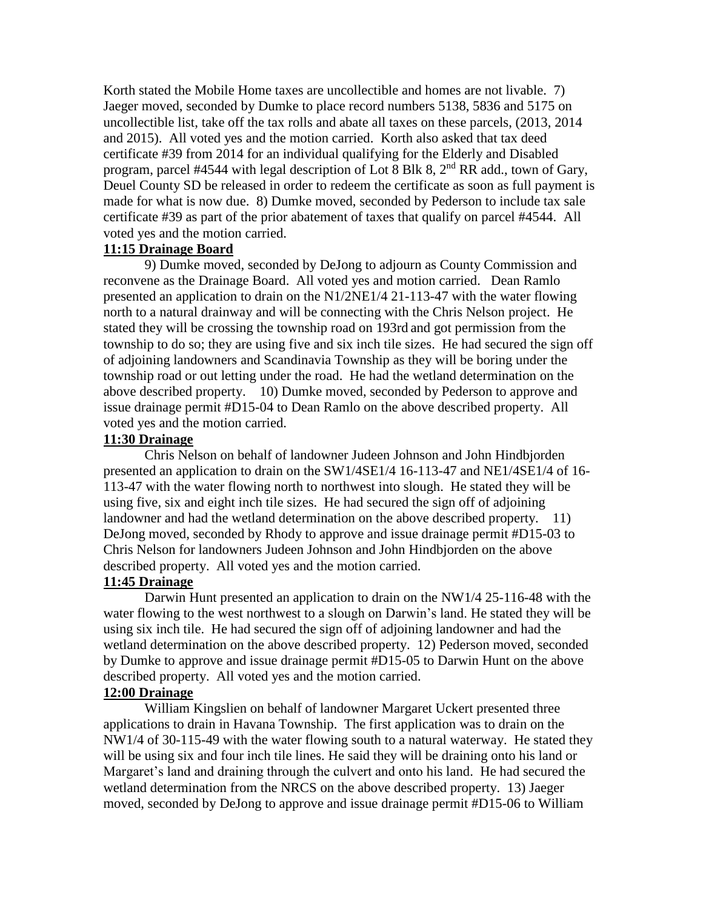Korth stated the Mobile Home taxes are uncollectible and homes are not livable. 7) Jaeger moved, seconded by Dumke to place record numbers 5138, 5836 and 5175 on uncollectible list, take off the tax rolls and abate all taxes on these parcels, (2013, 2014 and 2015). All voted yes and the motion carried. Korth also asked that tax deed certificate #39 from 2014 for an individual qualifying for the Elderly and Disabled program, parcel #4544 with legal description of Lot 8 Blk 8, 2<sup>nd</sup> RR add., town of Gary, Deuel County SD be released in order to redeem the certificate as soon as full payment is made for what is now due. 8) Dumke moved, seconded by Pederson to include tax sale certificate #39 as part of the prior abatement of taxes that qualify on parcel #4544. All voted yes and the motion carried.

#### **11:15 Drainage Board**

9) Dumke moved, seconded by DeJong to adjourn as County Commission and reconvene as the Drainage Board. All voted yes and motion carried. Dean Ramlo presented an application to drain on the N1/2NE1/4 21-113-47 with the water flowing north to a natural drainway and will be connecting with the Chris Nelson project. He stated they will be crossing the township road on 193rd and got permission from the township to do so; they are using five and six inch tile sizes. He had secured the sign off of adjoining landowners and Scandinavia Township as they will be boring under the township road or out letting under the road. He had the wetland determination on the above described property. 10) Dumke moved, seconded by Pederson to approve and issue drainage permit #D15-04 to Dean Ramlo on the above described property. All voted yes and the motion carried.

### **11:30 Drainage**

Chris Nelson on behalf of landowner Judeen Johnson and John Hindbjorden presented an application to drain on the SW1/4SE1/4 16-113-47 and NE1/4SE1/4 of 16- 113-47 with the water flowing north to northwest into slough. He stated they will be using five, six and eight inch tile sizes. He had secured the sign off of adjoining landowner and had the wetland determination on the above described property. 11) DeJong moved, seconded by Rhody to approve and issue drainage permit #D15-03 to Chris Nelson for landowners Judeen Johnson and John Hindbjorden on the above described property. All voted yes and the motion carried.

## **11:45 Drainage**

Darwin Hunt presented an application to drain on the NW1/4 25-116-48 with the water flowing to the west northwest to a slough on Darwin's land. He stated they will be using six inch tile. He had secured the sign off of adjoining landowner and had the wetland determination on the above described property. 12) Pederson moved, seconded by Dumke to approve and issue drainage permit #D15-05 to Darwin Hunt on the above described property. All voted yes and the motion carried.

## **12:00 Drainage**

William Kingslien on behalf of landowner Margaret Uckert presented three applications to drain in Havana Township. The first application was to drain on the NW1/4 of 30-115-49 with the water flowing south to a natural waterway. He stated they will be using six and four inch tile lines. He said they will be draining onto his land or Margaret's land and draining through the culvert and onto his land. He had secured the wetland determination from the NRCS on the above described property. 13) Jaeger moved, seconded by DeJong to approve and issue drainage permit #D15-06 to William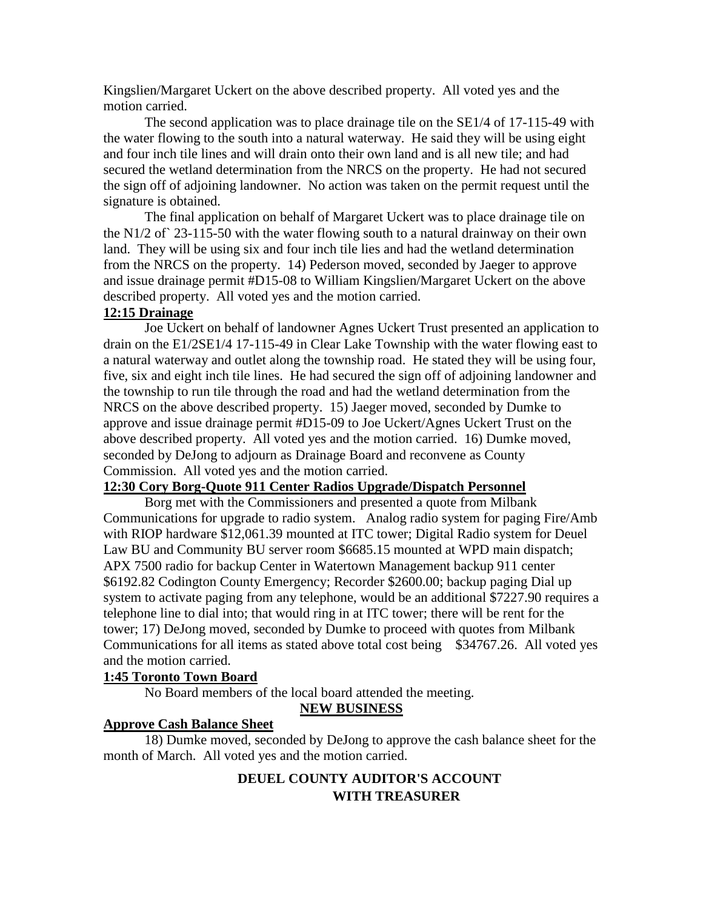Kingslien/Margaret Uckert on the above described property. All voted yes and the motion carried.

The second application was to place drainage tile on the SE1/4 of 17-115-49 with the water flowing to the south into a natural waterway. He said they will be using eight and four inch tile lines and will drain onto their own land and is all new tile; and had secured the wetland determination from the NRCS on the property. He had not secured the sign off of adjoining landowner. No action was taken on the permit request until the signature is obtained.

The final application on behalf of Margaret Uckert was to place drainage tile on the N1/2 of` 23-115-50 with the water flowing south to a natural drainway on their own land. They will be using six and four inch tile lies and had the wetland determination from the NRCS on the property. 14) Pederson moved, seconded by Jaeger to approve and issue drainage permit #D15-08 to William Kingslien/Margaret Uckert on the above described property. All voted yes and the motion carried.

#### **12:15 Drainage**

Joe Uckert on behalf of landowner Agnes Uckert Trust presented an application to drain on the E1/2SE1/4 17-115-49 in Clear Lake Township with the water flowing east to a natural waterway and outlet along the township road. He stated they will be using four, five, six and eight inch tile lines. He had secured the sign off of adjoining landowner and the township to run tile through the road and had the wetland determination from the NRCS on the above described property. 15) Jaeger moved, seconded by Dumke to approve and issue drainage permit #D15-09 to Joe Uckert/Agnes Uckert Trust on the above described property. All voted yes and the motion carried. 16) Dumke moved, seconded by DeJong to adjourn as Drainage Board and reconvene as County Commission. All voted yes and the motion carried.

## **12:30 Cory Borg-Quote 911 Center Radios Upgrade/Dispatch Personnel**

Borg met with the Commissioners and presented a quote from Milbank Communications for upgrade to radio system. Analog radio system for paging Fire/Amb with RIOP hardware \$12,061.39 mounted at ITC tower; Digital Radio system for Deuel Law BU and Community BU server room \$6685.15 mounted at WPD main dispatch; APX 7500 radio for backup Center in Watertown Management backup 911 center \$6192.82 Codington County Emergency; Recorder \$2600.00; backup paging Dial up system to activate paging from any telephone, would be an additional \$7227.90 requires a telephone line to dial into; that would ring in at ITC tower; there will be rent for the tower; 17) DeJong moved, seconded by Dumke to proceed with quotes from Milbank Communications for all items as stated above total cost being \$34767.26. All voted yes and the motion carried.

#### **1:45 Toronto Town Board**

No Board members of the local board attended the meeting.

## **NEW BUSINESS**

#### **Approve Cash Balance Sheet**

18) Dumke moved, seconded by DeJong to approve the cash balance sheet for the month of March. All voted yes and the motion carried.

## **DEUEL COUNTY AUDITOR'S ACCOUNT WITH TREASURER**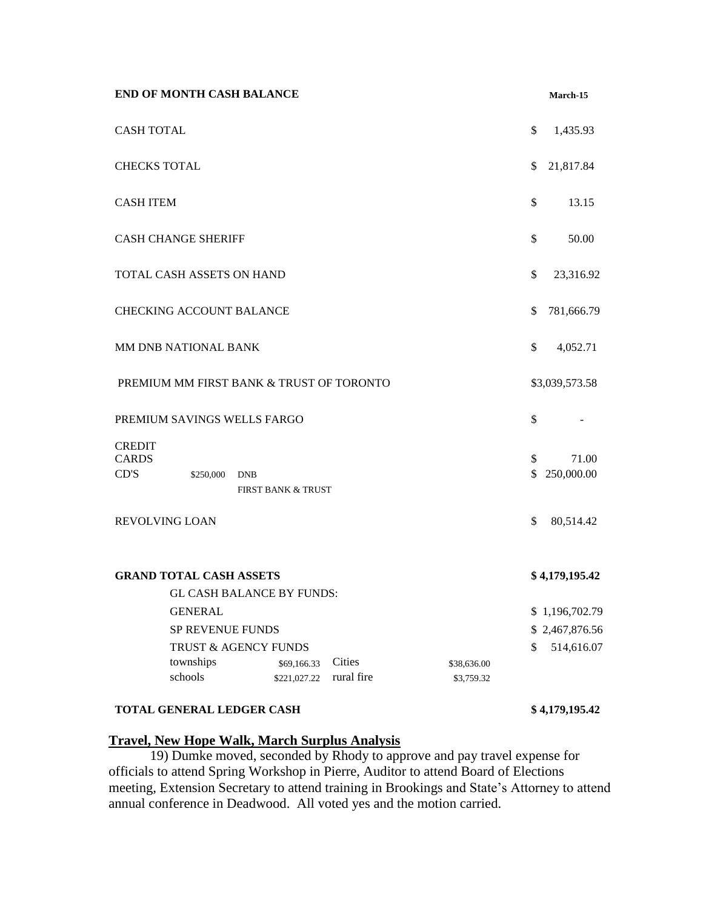|                                                             | <b>END OF MONTH CASH BALANCE</b> |            |                               |            |  |             |          | March-15            |
|-------------------------------------------------------------|----------------------------------|------------|-------------------------------|------------|--|-------------|----------|---------------------|
| <b>CASH TOTAL</b>                                           |                                  |            |                               |            |  |             | \$       | 1,435.93            |
| <b>CHECKS TOTAL</b>                                         |                                  |            |                               |            |  |             | \$       | 21,817.84           |
| <b>CASH ITEM</b>                                            |                                  |            |                               |            |  |             | \$       | 13.15               |
|                                                             | <b>CASH CHANGE SHERIFF</b>       |            |                               |            |  |             | \$       | 50.00               |
|                                                             | TOTAL CASH ASSETS ON HAND        |            |                               |            |  |             | \$       | 23,316.92           |
|                                                             | <b>CHECKING ACCOUNT BALANCE</b>  |            |                               |            |  |             | \$       | 781,666.79          |
| MM DNB NATIONAL BANK                                        |                                  |            |                               |            |  |             | \$       | 4,052.71            |
| PREMIUM MM FIRST BANK & TRUST OF TORONTO                    |                                  |            |                               |            |  |             |          | \$3,039,573.58      |
| PREMIUM SAVINGS WELLS FARGO                                 |                                  |            |                               |            |  |             | \$       |                     |
| <b>CREDIT</b><br><b>CARDS</b><br>CD'S                       | \$250,000                        | <b>DNB</b> | <b>FIRST BANK &amp; TRUST</b> |            |  |             | \$<br>\$ | 71.00<br>250,000.00 |
| REVOLVING LOAN                                              |                                  |            |                               |            |  |             | \$       | 80,514.42           |
| <b>GRAND TOTAL CASH ASSETS</b><br>GL CASH BALANCE BY FUNDS: |                                  |            |                               |            |  |             |          | \$4,179,195.42      |
|                                                             | <b>GENERAL</b>                   |            |                               |            |  |             |          | \$1,196,702.79      |
| SP REVENUE FUNDS                                            |                                  |            |                               |            |  |             |          | \$2,467,876.56      |
| TRUST & AGENCY FUNDS                                        |                                  |            |                               |            |  |             | \$       | 514,616.07          |
|                                                             | townships                        |            | \$69,166.33                   | Cities     |  | \$38,636.00 |          |                     |
|                                                             | schools                          |            | \$221,027.22                  | rural fire |  | \$3,759.32  |          |                     |
|                                                             |                                  |            |                               |            |  |             |          |                     |

## **TOTAL GENERAL LEDGER CASH \$ 4,179,195.42**

## **Travel, New Hope Walk, March Surplus Analysis**

19) Dumke moved, seconded by Rhody to approve and pay travel expense for officials to attend Spring Workshop in Pierre, Auditor to attend Board of Elections meeting, Extension Secretary to attend training in Brookings and State's Attorney to attend annual conference in Deadwood. All voted yes and the motion carried.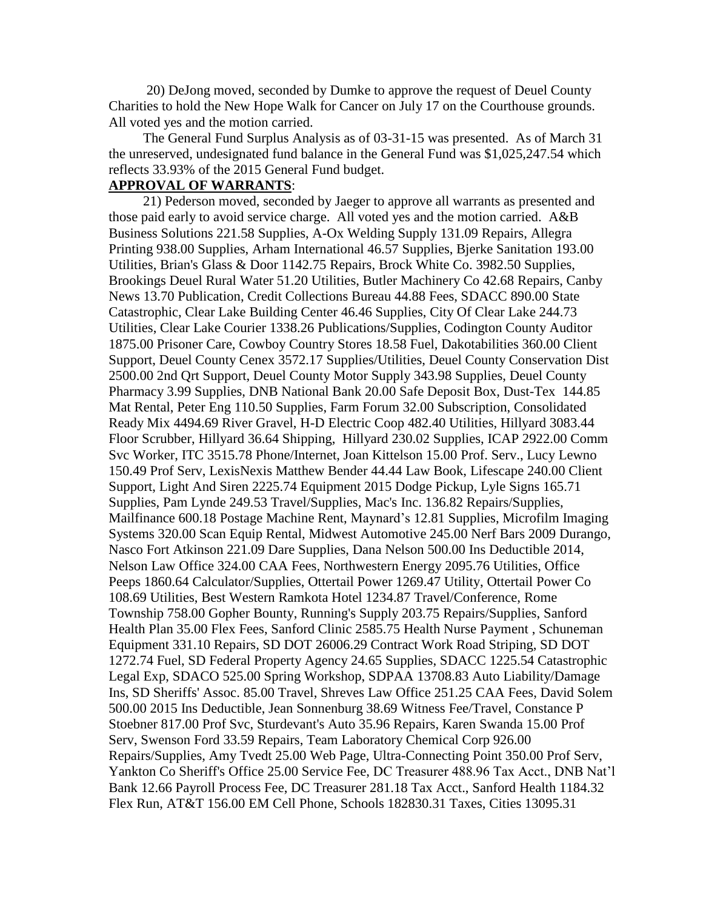20) DeJong moved, seconded by Dumke to approve the request of Deuel County Charities to hold the New Hope Walk for Cancer on July 17 on the Courthouse grounds. All voted yes and the motion carried.

 The General Fund Surplus Analysis as of 03-31-15 was presented. As of March 31 the unreserved, undesignated fund balance in the General Fund was \$1,025,247.54 which reflects 33.93% of the 2015 General Fund budget.

### **APPROVAL OF WARRANTS**:

 21) Pederson moved, seconded by Jaeger to approve all warrants as presented and those paid early to avoid service charge. All voted yes and the motion carried. A&B Business Solutions 221.58 Supplies, A-Ox Welding Supply 131.09 Repairs, Allegra Printing 938.00 Supplies, Arham International 46.57 Supplies, Bjerke Sanitation 193.00 Utilities, Brian's Glass & Door 1142.75 Repairs, Brock White Co. 3982.50 Supplies, Brookings Deuel Rural Water 51.20 Utilities, Butler Machinery Co 42.68 Repairs, Canby News 13.70 Publication, Credit Collections Bureau 44.88 Fees, SDACC 890.00 State Catastrophic, Clear Lake Building Center 46.46 Supplies, City Of Clear Lake 244.73 Utilities, Clear Lake Courier 1338.26 Publications/Supplies, Codington County Auditor 1875.00 Prisoner Care, Cowboy Country Stores 18.58 Fuel, Dakotabilities 360.00 Client Support, Deuel County Cenex 3572.17 Supplies/Utilities, Deuel County Conservation Dist 2500.00 2nd Qrt Support, Deuel County Motor Supply 343.98 Supplies, Deuel County Pharmacy 3.99 Supplies, DNB National Bank 20.00 Safe Deposit Box, Dust-Tex 144.85 Mat Rental, Peter Eng 110.50 Supplies, Farm Forum 32.00 Subscription, Consolidated Ready Mix 4494.69 River Gravel, H-D Electric Coop 482.40 Utilities, Hillyard 3083.44 Floor Scrubber, Hillyard 36.64 Shipping, Hillyard 230.02 Supplies, ICAP 2922.00 Comm Svc Worker, ITC 3515.78 Phone/Internet, Joan Kittelson 15.00 Prof. Serv., Lucy Lewno 150.49 Prof Serv, LexisNexis Matthew Bender 44.44 Law Book, Lifescape 240.00 Client Support, Light And Siren 2225.74 Equipment 2015 Dodge Pickup, Lyle Signs 165.71 Supplies, Pam Lynde 249.53 Travel/Supplies, Mac's Inc. 136.82 Repairs/Supplies, Mailfinance 600.18 Postage Machine Rent, Maynard's 12.81 Supplies, Microfilm Imaging Systems 320.00 Scan Equip Rental, Midwest Automotive 245.00 Nerf Bars 2009 Durango, Nasco Fort Atkinson 221.09 Dare Supplies, Dana Nelson 500.00 Ins Deductible 2014, Nelson Law Office 324.00 CAA Fees, Northwestern Energy 2095.76 Utilities, Office Peeps 1860.64 Calculator/Supplies, Ottertail Power 1269.47 Utility, Ottertail Power Co 108.69 Utilities, Best Western Ramkota Hotel 1234.87 Travel/Conference, Rome Township 758.00 Gopher Bounty, Running's Supply 203.75 Repairs/Supplies, Sanford Health Plan 35.00 Flex Fees, Sanford Clinic 2585.75 Health Nurse Payment , Schuneman Equipment 331.10 Repairs, SD DOT 26006.29 Contract Work Road Striping, SD DOT 1272.74 Fuel, SD Federal Property Agency 24.65 Supplies, SDACC 1225.54 Catastrophic Legal Exp, SDACO 525.00 Spring Workshop, SDPAA 13708.83 Auto Liability/Damage Ins, SD Sheriffs' Assoc. 85.00 Travel, Shreves Law Office 251.25 CAA Fees, David Solem 500.00 2015 Ins Deductible, Jean Sonnenburg 38.69 Witness Fee/Travel, Constance P Stoebner 817.00 Prof Svc, Sturdevant's Auto 35.96 Repairs, Karen Swanda 15.00 Prof Serv, Swenson Ford 33.59 Repairs, Team Laboratory Chemical Corp 926.00 Repairs/Supplies, Amy Tvedt 25.00 Web Page, Ultra-Connecting Point 350.00 Prof Serv, Yankton Co Sheriff's Office 25.00 Service Fee, DC Treasurer 488.96 Tax Acct., DNB Nat'l Bank 12.66 Payroll Process Fee, DC Treasurer 281.18 Tax Acct., Sanford Health 1184.32 Flex Run, AT&T 156.00 EM Cell Phone, Schools 182830.31 Taxes, Cities 13095.31